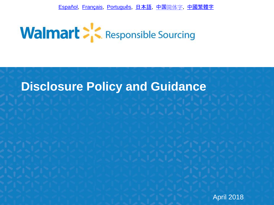[Español](http://image.responsiblesourcing.walmart.com/lib/fe9412747764037575/m/1/96d3206f-e31d-4940-ba9a-0b67c04b9e52.pdf?b=1520355537000), [Français,](http://image.responsiblesourcing.walmart.com/lib/fe9412747764037575/m/1/758b9c7b-ca61-4984-9cca-1c963562a372.pdf?b=1520357589000) [Português,](http://image.responsiblesourcing.walmart.com/lib/fe9412747764037575/m/1/beb15edf-2945-4a58-bae4-655cba250d08.pdf?b=1520358698000) [日本語](http://image.responsiblesourcing.walmart.com/lib/fe9412747764037575/m/1/7f6ed02b-8e8a-4f5f-8d9e-d12f6307e4e7.pdf?b=1520358140000), [中国](http://image.responsiblesourcing.walmart.com/lib/fe9412747764037575/m/1/4271a38a-6390-4bd9-9104-6073bb88f78d.pdf?b=1520353946000)[简体字](http://image.responsiblesourcing.walmart.com/lib/fe9412747764037575/m/1/4271a38a-6390-4bd9-9104-6073bb88f78d.pdf?b=1520353946000), [中國繁體字](http://image.responsiblesourcing.walmart.com/lib/fe9412747764037575/m/1/58f7f5e0-65cd-4a01-915b-02251b1f110e.pdf?b=1520354677000)



# **Disclosure Policy and Guidance**

April 2018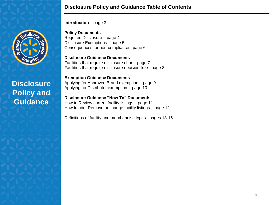

### **Disclosure Policy and Guidance Table of Contents**

**Introduction** – page 3

**Policy Documents** Required Disclosure – page 4 Disclosure Exemptions – page 5 Consequences for non-compliance - page 6

**Disclosure Guidance Documents** Facilities that require disclosure chart - page 7 Facilities that require disclosure decision tree - page 8

**Exemption Guidance Documents** Applying for Approved Brand exemption – page 9 Applying for Distributor exemption - page 10

**Disclosure Guidance "How To" Documents** How to Review current facility listings – page 11 How to add, Remove or change facility listings – page 12

Definitions of facility and merchandise types - pages 13-15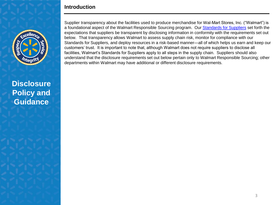### **Introduction**



**Disclosure Policy and Guidance**

Supplier transparency about the facilities used to produce merchandise for Wal-Mart Stores, Inc. ("Walmart") is a foundational aspect of the Walmart Responsible Sourcing program. Our [Standards for Suppliers](http://corporate.walmart.com/sourcing-standards-resources) set forth the expectations that suppliers be transparent by disclosing information in conformity with the requirements set out below. That transparency allows Walmart to assess supply chain risk, monitor for compliance with our Standards for Suppliers, and deploy resources in a risk-based manner—all of which helps us earn and keep our customers' trust. It is important to note that, although Walmart does not require suppliers to disclose all facilities, Walmart's Standards for Suppliers apply to all steps in the supply chain. Suppliers should also understand that the disclosure requirements set out below pertain only to Walmart Responsible Sourcing; other departments within Walmart may have additional or different disclosure requirements.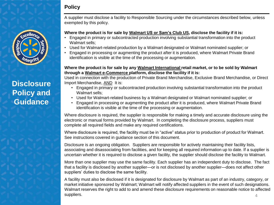# **Policy**

# **Disclosure Policy and Guidance**

A supplier must disclose a facility to Responsible Sourcing under the circumstances described below, unless exempted by this policy.

#### **Where the product is for sale by Walmart US or Sam's Club US, disclose the facility if it is:**

- Engaged in primary or subcontracted production involving substantial transformation into the product Walmart sells;
- Used for Walmart-related production by a Walmart designated or Walmart nominated supplier; or
- Engaged in processing or augmenting the product after it is produced, where Walmart Private Brand identification is visible at the time of the processing or augmentation.

#### **Where the product is for sale by any Walmart International retail market, or to be sold by Walmart through a Walmart e-Commerce platform, disclose the facility if it is:**

Used in connection with the production of Private Brand Merchandise, Exclusive Brand Merchandise, or Direct Import Merchandise, AND It is:

- Engaged in primary or subcontracted production involving substantial transformation into the product Walmart sells;
- Used for Walmart-related business by a Walmart designated or Walmart nominated supplier; or
- Engaged in processing or augmenting the product after it is produced, where Walmart Private Brand identification is visible at the time of the processing or augmentation.

Where disclosure is required, the supplier is responsible for making a timely and accurate disclosure using the electronic or manual forms provided by Walmart. In completing the disclosure process, suppliers must complete all required fields and make any required certifications.

Where disclosure is required, the facility must be in "active" status prior to production of product for Walmart. See instructions covered in guidance section of this document.

Disclosure is an ongoing obligation. Suppliers are responsible for actively maintaining their facility lists, associating and disassociating from facilities, and for keeping all required information up to date. If a supplier is uncertain whether it is required to disclose a given facility, the supplier should disclose the facility to Walmart.

More than one supplier may use the same facility. Each supplier has an independent duty to disclose. The fact that a facility is disclosed by another supplier—or is not disclosed by another supplier—does not affect other suppliers' duties to disclose the same facility.

A facility must also be disclosed if it is designated for disclosure by Walmart as part of an industry, category, or market initiative sponsored by Walmart; Walmart will notify affected suppliers in the event of such designations. Walmart reserves the right to add to and amend these disclosure requirements on reasonable notice to affected suppliers.  $4\frac{4}{3}$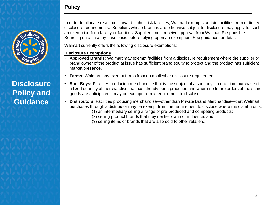# **Policy**



# **Disclosure Policy and Guidance**

In order to allocate resources toward higher-risk facilities, Walmart exempts certain facilities from ordinary disclosure requirements. Suppliers whose facilities are otherwise subject to disclosure may apply for such an exemption for a facility or facilities. Suppliers must receive approval from Walmart Responsible Sourcing on a case-by-case basis before relying upon an exemption. See guidance for details.

Walmart currently offers the following disclosure exemptions:

#### **Disclosure Exemptions**

- **Approved Brands**: Walmart may exempt facilities from a disclosure requirement where the supplier or brand owner of the product at issue has sufficient brand equity to protect and the product has sufficient market presence.
- **Farms:** Walmart may exempt farms from an applicable disclosure requirement.
- **Spot Buys:** Facilities producing merchandise that is the subject of a spot buy—a one-time purchase of a fixed quantity of merchandise that has already been produced and where no future orders of the same goods are anticipated—may be exempt from a requirement to disclose.
- **Distributors:** Facilities producing merchandise—other than Private Brand Merchandise—that Walmart purchases through a distributor may be exempt from the requirement to disclose where the distributor is:
	- (1) an intermediary selling a range of pre-produced and competing products;
	- (2) selling product brands that they neither own nor influence; and
	- (3) selling items or brands that are also sold to other retailers.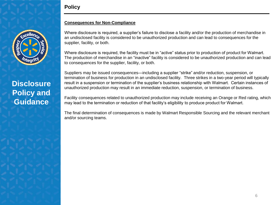



#### **Consequences for Non-Compliance**

Where disclosure is required, a supplier's failure to disclose a facility and/or the production of merchandise in an undisclosed facility is considered to be unauthorized production and can lead to consequences for the supplier, facility, or both.

Where disclosure is required, the facility must be in "active" status prior to production of product for Walmart. The production of merchandise in an "inactive" facility is considered to be unauthorized production and can lead to consequences for the supplier, facility, or both.

Suppliers may be issued consequences—including a supplier "strike" and/or reduction, suspension, or termination of business for production in an undisclosed facility. Three strikes in a two-year period will typically result in a suspension or termination of the supplier's business relationship with Walmart. Certain instances of unauthorized production may result in an immediate reduction, suspension, or termination of business.

Facility consequences related to unauthorized production may include receiving an Orange or Red rating, which may lead to the termination or reduction of that facility's eligibility to produce product for Walmart.

The final determination of consequences is made by Walmart Responsible Sourcing and the relevant merchant and/or sourcing teams.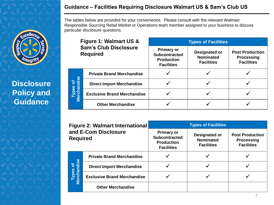### **Guidance – Facilities Requiring Disclosure Walmart US & Sam's Club US**

The tables below are provided for your convenience. Please consult with the relevant Walmart Responsible Sourcing Retail Market or Operations team member assigned to your business to discuss particular disclosure questions.

| Figure 1: Walmart US &<br><b>Sam's Club Disclosure</b><br><b>Required</b> |                                    | <b>Types of Facilities</b>                                                          |                                                        |                                                                  |  |
|---------------------------------------------------------------------------|------------------------------------|-------------------------------------------------------------------------------------|--------------------------------------------------------|------------------------------------------------------------------|--|
|                                                                           |                                    | <b>Primary or</b><br><b>Subcontracted</b><br><b>Production</b><br><b>Facilities</b> | Designated or<br><b>Nominated</b><br><b>Facilities</b> | <b>Post Production</b><br><b>Processing</b><br><b>Facilities</b> |  |
| Types of<br>Merchandise                                                   | <b>Private Brand Merchandise</b>   |                                                                                     |                                                        |                                                                  |  |
|                                                                           | <b>Direct Import Merchandise</b>   |                                                                                     |                                                        |                                                                  |  |
|                                                                           | <b>Exclusive Brand Merchandise</b> |                                                                                     |                                                        |                                                                  |  |
|                                                                           | <b>Other Merchandise</b>           |                                                                                     |                                                        |                                                                  |  |

| <b>Figure 2: Walmart International</b><br>and E-Com Disclosure<br><b>Required</b> |                                    | <b>Types of Facilities</b>                                                          |                                                        |                                                                  |  |
|-----------------------------------------------------------------------------------|------------------------------------|-------------------------------------------------------------------------------------|--------------------------------------------------------|------------------------------------------------------------------|--|
|                                                                                   |                                    | <b>Primary or</b><br><b>Subcontracted</b><br><b>Production</b><br><b>Facilities</b> | Designated or<br><b>Nominated</b><br><b>Facilities</b> | <b>Post Production</b><br><b>Processing</b><br><b>Facilities</b> |  |
| Types of<br>Merchandise                                                           | <b>Private Brand Merchandise</b>   |                                                                                     |                                                        |                                                                  |  |
|                                                                                   | <b>Direct Import Merchandise</b>   |                                                                                     |                                                        |                                                                  |  |
|                                                                                   | <b>Exclusive Brand Merchandise</b> |                                                                                     |                                                        |                                                                  |  |
|                                                                                   | <b>Other Merchandise</b>           |                                                                                     |                                                        |                                                                  |  |



# **Disclosure Policy and Guidance**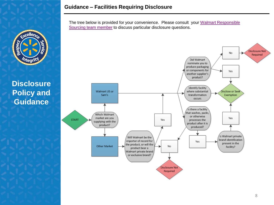

reller

The tree below is provided for your convenience. Please consult your Walmart Responsible [Sourcing team member](http://image.responsiblesourcing.walmart.com/lib/fe9412747764037575/m/1/d47bd1d4-1dd2-4af4-a032-50e5f6855d52.pdf?b=1520346745000http://image.s6.exacttarget.com/lib/fe9412747764037575/m/1/d47bd1d4-1dd2-4af4-a032-50e5f6855d52.pdf) to discuss particular disclosure questions.

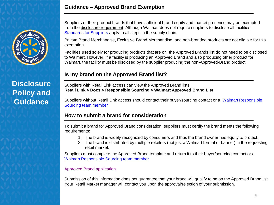### **Guidance – Approved Brand Exemption**



# **Disclosure Policy and Guidance**

Suppliers or their product brands that have sufficient brand equity and market presence may be exempted from the disclosure requirement. Although Walmart does not require suppliers to disclose all facilities, [Standards for Suppliers](http://corporate.walmart.com/sourcing-standards-resources) apply to all steps in the supply chain.

Private Brand Merchandise, Exclusive Brand Merchandise, and non-branded products are not eligible for this exemption.

Facilities used solely for producing products that are on the Approved Brands list do not need to be disclosed to Walmart. However, if a facility is producing an Approved Brand and also producing other product for Walmart, the facility must be disclosed by the supplier producing the non-Approved-Brand product.

# **Is my brand on the Approved Brand list?**

Suppliers with Retail Link access can view the Approved Brand lists: **Retail Link > Docs > Responsible Sourcing > Walmart Approved Brand List**

Suppliers without Retail Link access should contact their buyer/sourcing contact or a [Walmart Responsible](http://image.responsiblesourcing.walmart.com/lib/fe9412747764037575/m/1/d47bd1d4-1dd2-4af4-a032-50e5f6855d52.pdf?b=1520346745000http://image.s6.exacttarget.com/lib/fe9412747764037575/m/1/d47bd1d4-1dd2-4af4-a032-50e5f6855d52.pdf)  [Sourcing team member](http://image.responsiblesourcing.walmart.com/lib/fe9412747764037575/m/1/d47bd1d4-1dd2-4af4-a032-50e5f6855d52.pdf?b=1520346745000http://image.s6.exacttarget.com/lib/fe9412747764037575/m/1/d47bd1d4-1dd2-4af4-a032-50e5f6855d52.pdf)

# **How to submit a brand for consideration**

To submit a brand for Approved Brand consideration, suppliers must certify the brand meets the following requirements:

- 1. The brand is widely recognized by consumers and thus the brand owner has equity to protect.
- 2. The brand is distributed by multiple retailers (not just a Walmart format or banner) in the requesting retail market.

Suppliers must complete the Approved Brand template and return it to their buyer/sourcing contact or a [Walmart Responsible Sourcing team](http://image.responsiblesourcing.walmart.com/lib/fe9412747764037575/m/1/d47bd1d4-1dd2-4af4-a032-50e5f6855d52.pdf?b=1520346745000http://image.s6.exacttarget.com/lib/fe9412747764037575/m/1/d47bd1d4-1dd2-4af4-a032-50e5f6855d52.pdf) [member](http://image.s6.exacttarget.com/lib/fe9412747764037575/m/1/Retail+Market+Contact+List+v5.pdf)

### [Approved Brand application](http://image.responsiblesourcing.walmart.com/lib/fe9412747764037575/m/1/3acc9d1d-4d4d-4b81-8ab9-edb37a404099.xlsx)

Submission of this information does not guarantee that your brand will qualify to be on the Approved Brand list. Your Retail Market manager will contact you upon the approval/rejection of your submission.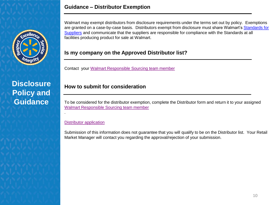

### **Guidance – Distributor Exemption**

Walmart may exempt distributors from disclosure requirements under the terms set out by policy. Exemptions are granted on a case-by-case basis. Distributors exempt from disclosure must share Walmart's Standards for [Suppliers](http://corporate.walmart.com/sourcing-standards-resources) and communicate that the suppliers are responsible for compliance with the Standards at all facilities producing product for sale at Walmart.

### **Is my company on the Approved Distributor list?**

Contact your [Walmart Responsible Sourcing team member](http://image.responsiblesourcing.walmart.com/lib/fe9412747764037575/m/1/d47bd1d4-1dd2-4af4-a032-50e5f6855d52.pdf?b=1520346745000http://image.s6.exacttarget.com/lib/fe9412747764037575/m/1/d47bd1d4-1dd2-4af4-a032-50e5f6855d52.pdf)

# **How to submit for consideration**

To be considered for the distributor exemption, complete the Distributor form and return it to your assigned [Walmart Responsible Sourcing team member](http://image.responsiblesourcing.walmart.com/lib/fe9412747764037575/m/1/d47bd1d4-1dd2-4af4-a032-50e5f6855d52.pdf?b=1520346745000http://image.s6.exacttarget.com/lib/fe9412747764037575/m/1/d47bd1d4-1dd2-4af4-a032-50e5f6855d52.pdf)

#### [Distributor application](http://image.responsiblesourcing.walmart.com/lib/fe9412747764037575/m/1/8934a761-6693-47db-afa7-5e6ba1a4c4e0.docx?b=1520348133000)

.

Submission of this information does not guarantee that you will qualify to be on the Distributor list. Your Retail Market Manager will contact you regarding the approval/rejection of your submission.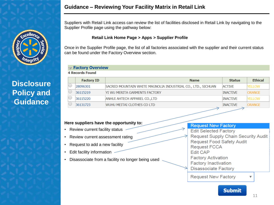

### **Guidance – Reviewing Your Facility Matrix in Retail Link**

Suppliers with Retail Link access can review the list of facilities disclosed in Retail Link by navigating to the Supplier Profile page using the pathway below:

#### **Retail Link Home Page > Apps > Supplier Profile**

Once in the Supplier Profile page, the list of all factories associated with the supplier and their current status can be found under the Factory Overview section.

### $\triangledown$  Factory Overview

**4 Records Found** 

| <b>Factory ID</b> | <b>Name</b>                                                  | <b>Status</b>   | <b>Ethical</b> |
|-------------------|--------------------------------------------------------------|-----------------|----------------|
| 28096301          | SACRED MOUNTAIN WHITE MAGNOLIA INDUSTRIAL CO., LTD., SICHUAN | <b>ACTIVE</b>   | YELLOW         |
| 36115219          | YI WU MERITA GARMENTS FACTORY                                | <b>INACTIVE</b> | <b>ORANGE</b>  |
| 36115220          | ANHUI AHTECH APPAREL CO., LTD                                | <b>INACTIVE</b> | <b>YFI LOW</b> |
| 36131723          | WUHU MEITAI CLOTHES CO LTD                                   | <b>INACTIVE</b> | ORANGE         |
|                   |                                                              |                 |                |

#### **Here suppliers have the opportunity to:**

- Review current facility status
- Review current assessment rating
- Request to add a new facility
- Edit facility information
- Disassociate from a facility no longer being used

#### **Request New Factory**

**Edit Selected Factory Request Supply Chain Security Audit Request Food Safety Audit Request FCCA Edit CAP Factory Activation Factory Inactivation Disassociate Factory** 

**Request New Factory** 

▼

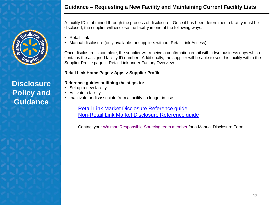

A facility ID is obtained through the process of disclosure. Once it has been determined a facility must be disclosed, the supplier will disclose the facility in one of the following ways:

- **Retail Link**
- Manual disclosure (only available for suppliers without Retail Link Access)

Once disclosure is complete, the supplier will receive a confirmation email within two business days which contains the assigned facility ID number. Additionally, the supplier will be able to see this facility within the Supplier Profile page in Retail Link under Factory Overview.

### **Retail Link Home Page > Apps > Supplier Profile**

### **Reference guides outlining the steps to:**

- Set up a new facility
- Activate a facility
- Inactivate or disassociate from a facility no longer in use

[Retail Link Market Disclosure Reference guide](http://image.responsiblesourcing.walmart.com/lib/fe9412747764037575/m/1/f7c0e024-dd96-4e02-9dfd-c4aba257d163.pdf?b=1520348310000http://image.s6.exacttarget.com/lib/fe9412747764037575/m/1/7f7c015d-85f4-42fe-b0cb-a765afd8a157.pdf) [Non-Retail Link Market Disclosure Reference guide](http://image.responsiblesourcing.walmart.com/lib/fe9412747764037575/m/1/11a2f8e5-5132-4759-a98a-a366925af3ba.pdf?b=1520348233000)

Contact your [Walmart Responsible Sourcing team member](http://image.responsiblesourcing.walmart.com/lib/fe9412747764037575/m/1/d47bd1d4-1dd2-4af4-a032-50e5f6855d52.pdf?b=1520346745000http://image.s6.exacttarget.com/lib/fe9412747764037575/m/1/d47bd1d4-1dd2-4af4-a032-50e5f6855d52.pdf) for a Manual Disclosure Form.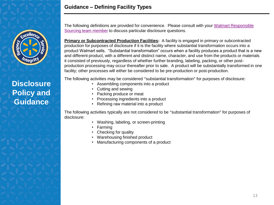

**Guidance – Defining Facility Types**

The following definitions are provided for convenience. Please consult with your [Walmart Responsible](http://image.responsiblesourcing.walmart.com/lib/fe9412747764037575/m/1/d47bd1d4-1dd2-4af4-a032-50e5f6855d52.pdf?b=1520346745000http://image.s6.exacttarget.com/lib/fe9412747764037575/m/1/d47bd1d4-1dd2-4af4-a032-50e5f6855d52.pdf)  [Sourcing team member](http://image.responsiblesourcing.walmart.com/lib/fe9412747764037575/m/1/d47bd1d4-1dd2-4af4-a032-50e5f6855d52.pdf?b=1520346745000http://image.s6.exacttarget.com/lib/fe9412747764037575/m/1/d47bd1d4-1dd2-4af4-a032-50e5f6855d52.pdf) to discuss particular disclosure questions.

**Primary or Subcontracted Production Facilities:** A facility is engaged in primary or subcontracted production for purposes of disclosure if it is the facility where substantial transformation occurs into a product Walmart sells. "Substantial transformation" occurs when a facility produces a product that is a new and different product, with a different and distinct name, character, and use from the products or materials it consisted of previously, regardless of whether further branding, labeling, packing, or other postproduction processing may occur thereafter prior to sale. A product will be substantially transformed in one facility; other processes will either be considered to be pre-production or post-production.

The following activities may be considered "substantial transformation" for purposes of disclosure:

- Assembling components into a product
- Cutting and sewing
- Packing produce or meat
- Processing ingredients into a product
- Refining raw material into a product

The following activities typically are not considered to be "substantial transformation" for purposes of disclosure:

- Washing, labeling, or screen-printing
- Farming
- Checking for quality
- Warehousing finished product
- Manufacturing components of a product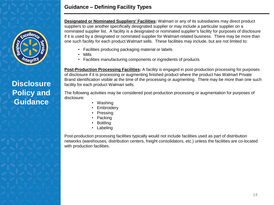### **Guidance – Defining Facility Types**

**Designated or Nominated Suppliers' Facilities:** Walmart or any of its subsidiaries may direct product suppliers to use another specifically designated supplier or may include a particular supplier on a nominated supplier list. A facility is a designated or nominated supplier's facility for purposes of disclosure if it is used by a designated or nominated supplier for Walmart-related business. There may be more than one such facility for each product Walmart sells. These facilities may include, but are not limited to:

- Facilities producing packaging material or labels
- Mills
- Facilities manufacturing components or ingredients of products

**Post-Production Processing Facilities:** A facility is engaged in post-production processing for purposes of disclosure if it is processing or augmenting finished product where the product has Walmart Private Brand identification visible at the time of the processing or augmenting. There may be more than one such facility for each product Walmart sells.

The following activities may be considered post-production processing or augmentation for purposes of disclosure:

- Washing
- Embroidery
- **Pressing**
- **Packing**
- **Bottling**
- Labeling

Post-production processing facilities typically would not include facilities used as part of distribution networks (warehouses, distribution centers, freight consolidators, etc.) unless the facilities are co-located with production facilities.